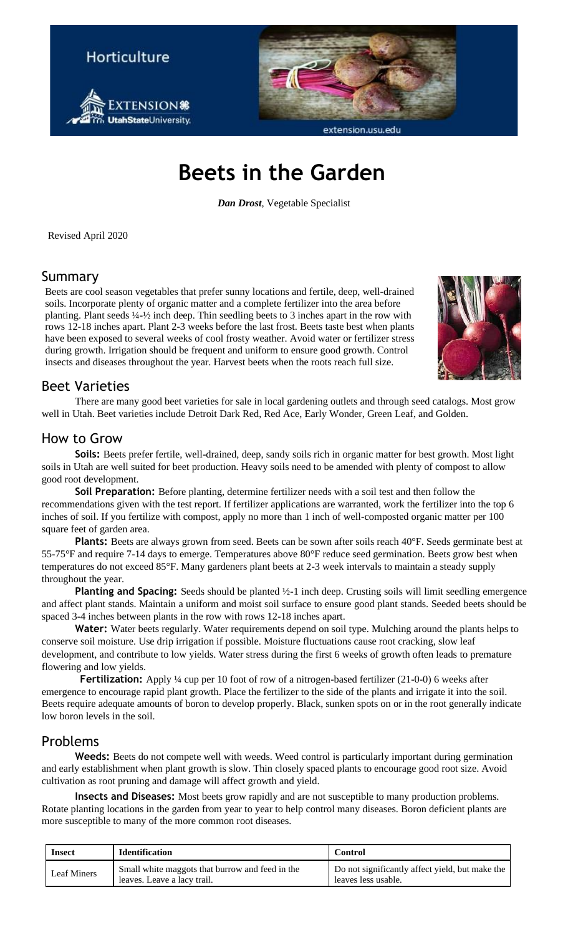



extension.usu.edu

# **Beets in the Garden**

*Dan Drost*, Vegetable Specialist

Revised April 2020

#### Summary

Beets are cool season vegetables that prefer sunny locations and fertile, deep, well-drained soils. Incorporate plenty of organic matter and a complete fertilizer into the area before planting. Plant seeds ¼-½ inch deep. Thin seedling beets to 3 inches apart in the row with rows 12-18 inches apart. Plant 2-3 weeks before the last frost. Beets taste best when plants have been exposed to several weeks of cool frosty weather. Avoid water or fertilizer stress during growth. Irrigation should be frequent and uniform to ensure good growth. Control insects and diseases throughout the year. Harvest beets when the roots reach full size.



### Beet Varieties

There are many good beet varieties for sale in local gardening outlets and through seed catalogs. Most grow well in Utah. Beet varieties include Detroit Dark Red, Red Ace, Early Wonder, Green Leaf, and Golden.

### How to Grow

**Soils:** Beets prefer fertile, well-drained, deep, sandy soils rich in organic matter for best growth. Most light soils in Utah are well suited for beet production. Heavy soils need to be amended with plenty of compost to allow good root development.

**Soil Preparation:** Before planting, determine fertilizer needs with a soil test and then follow the recommendations given with the test report. If fertilizer applications are warranted, work the fertilizer into the top 6 inches of soil. If you fertilize with compost, apply no more than 1 inch of well-composted organic matter per 100 square feet of garden area.

Plants: Beets are always grown from seed. Beets can be sown after soils reach 40°F. Seeds germinate best at 55-75°F and require 7-14 days to emerge. Temperatures above 80°F reduce seed germination. Beets grow best when temperatures do not exceed 85°F. Many gardeners plant beets at 2-3 week intervals to maintain a steady supply throughout the year.

**Planting and Spacing:** Seeds should be planted  $\frac{1}{2}$ -1 inch deep. Crusting soils will limit seedling emergence and affect plant stands. Maintain a uniform and moist soil surface to ensure good plant stands. Seeded beets should be spaced 3-4 inches between plants in the row with rows 12-18 inches apart.

**Water:** Water beets regularly. Water requirements depend on soil type. Mulching around the plants helps to conserve soil moisture. Use drip irrigation if possible. Moisture fluctuations cause root cracking, slow leaf development, and contribute to low yields. Water stress during the first 6 weeks of growth often leads to premature flowering and low yields.

**Fertilization:** Apply <sup>1</sup>/4 cup per 10 foot of row of a nitrogen-based fertilizer (21-0-0) 6 weeks after emergence to encourage rapid plant growth. Place the fertilizer to the side of the plants and irrigate it into the soil. Beets require adequate amounts of boron to develop properly. Black, sunken spots on or in the root generally indicate low boron levels in the soil.

### Problems

Weeds: Beets do not compete well with weeds. Weed control is particularly important during germination and early establishment when plant growth is slow. Thin closely spaced plants to encourage good root size. Avoid cultivation as root pruning and damage will affect growth and yield.

**Insects and Diseases:** Most beets grow rapidly and are not susceptible to many production problems. Rotate planting locations in the garden from year to year to help control many diseases. Boron deficient plants are more susceptible to many of the more common root diseases.

| <b>Insect</b>      | <b>Identification</b>                                                          | <b>Control</b>                                                         |
|--------------------|--------------------------------------------------------------------------------|------------------------------------------------------------------------|
| <b>Leaf Miners</b> | Small white maggots that burrow and feed in the<br>leaves. Leave a lacy trail. | Do not significantly affect yield, but make the<br>leaves less usable. |